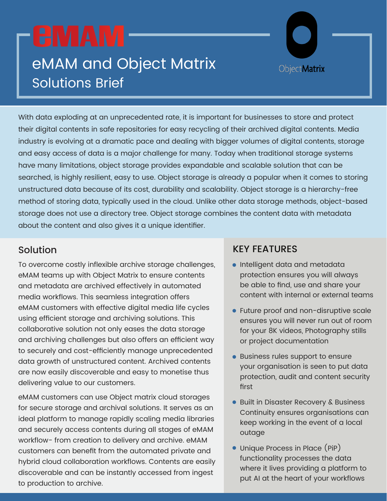# eMAM and Object Matrix Solutions Brief

With data exploding at an unprecedented rate, it is important for businesses to store and protect their digital contents in safe repositories for easy recycling of their archived digital contents. Media industry is evolving at a dramatic pace and dealing with bigger volumes of digital contents, storage and easy access of data is a major challenge for many. Today when traditional storage systems have many limitations, object storage provides expandable and scalable solution that can be searched, is highly resilient, easy to use. Object storage is already a popular when it comes to storing unstructured data because of its cost, durability and scalability. Object storage is a hierarchy-free method of storing data, typically used in the cloud. Unlike other data storage methods, object-based storage does not use a directory tree. Object storage combines the content data with metadata about the content and also gives it a unique identifier.

To overcome costly inflexible archive storage challenges, eMAM teams up with Object Matrix to ensure contents and metadata are archived effectively in automated media workflows. This seamless integration offers eMAM customers with effective digital media life cycles using efficient storage and archiving solutions. This collaborative solution not only eases the data storage and archiving challenges but also offers an efficient way to securely and cost-efficiently manage unprecedented data growth of unstructured content. Archived contents are now easily discoverable and easy to monetise thus delivering value to our customers.

eMAM customers can use Object matrix cloud storages for secure storage and archival solutions. It serves as an ideal platform to manage rapidly scaling media libraries and securely access contents during all stages of eMAM workflow- from creation to delivery and archive. eMAM customers can benefit from the automated private and hybrid cloud collaboration workflows. Contents are easily discoverable and can be instantly accessed from ingest to production to archive.

## Solution **KEY FEATURES**

**•** Intelligent data and metadata protection ensures you will always be able to find, use and share your content with internal or external teams

**ObjectMatrix** 

- Future proof and non-disruptive scale ensures you will never run out of room for your 8K videos, Photography stills or project documentation
- **Business rules support to ensure** your organisation is seen to put data protection, audit and content security first
- Built in Disaster Recovery & Business Continuity ensures organisations can keep working in the event of a local outage
- Unique Process in Place (PiP) functionality processes the data where it lives providing a platform to put AI at the heart of your workflows